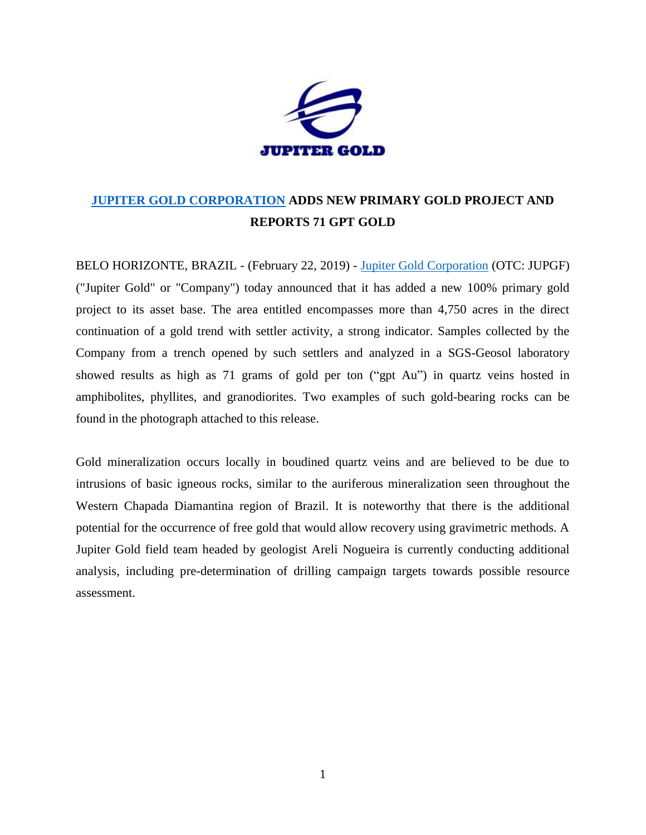

## **JUPITER GOLD [CORPORATION](http://www.jupitergoldcorp.com/) ADDS NEW PRIMARY GOLD PROJECT AND REPORTS 71 GPT GOLD**

BELO HORIZONTE, BRAZIL - (February 22, 2019) - [Jupiter Gold Corporation](http://www.jupitergoldcorp.com/) (OTC: JUPGF) ("Jupiter Gold" or "Company") today announced that it has added a new 100% primary gold project to its asset base. The area entitled encompasses more than 4,750 acres in the direct continuation of a gold trend with settler activity, a strong indicator. Samples collected by the Company from a trench opened by such settlers and analyzed in a SGS-Geosol laboratory showed results as high as 71 grams of gold per ton ("gpt Au") in quartz veins hosted in amphibolites, phyllites, and granodiorites. Two examples of such gold-bearing rocks can be found in the photograph attached to this release.

Gold mineralization occurs locally in boudined quartz veins and are believed to be due to intrusions of basic igneous rocks, similar to the auriferous mineralization seen throughout the Western Chapada Diamantina region of Brazil. It is noteworthy that there is the additional potential for the occurrence of free gold that would allow recovery using gravimetric methods. A Jupiter Gold field team headed by geologist Areli Nogueira is currently conducting additional analysis, including pre-determination of drilling campaign targets towards possible resource assessment.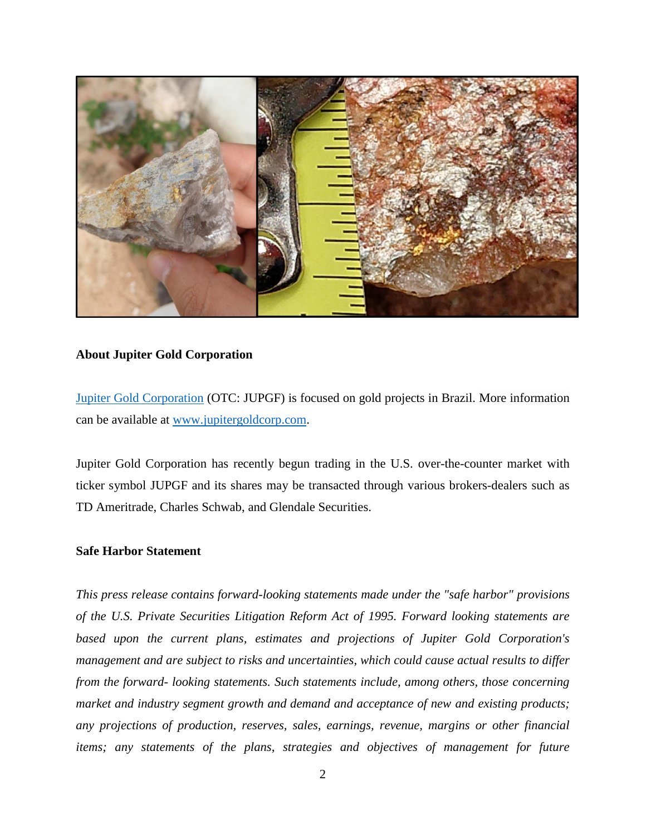

## **About Jupiter Gold Corporation**

[Jupiter Gold Corporation](http://www.jupitergoldcorp.com/) (OTC: JUPGF) is focused on gold projects in Brazil. More information can be available at [www.jupitergoldcorp.com.](http://www.jupitergoldcorp.com/)

Jupiter Gold Corporation has recently begun trading in the U.S. over-the-counter market with ticker symbol JUPGF and its shares may be transacted through various brokers-dealers such as TD Ameritrade, Charles Schwab, and Glendale Securities.

## **Safe Harbor Statement**

*This press release contains forward-looking statements made under the "safe harbor" provisions of the U.S. Private Securities Litigation Reform Act of 1995. Forward looking statements are based upon the current plans, estimates and projections of Jupiter Gold Corporation's management and are subject to risks and uncertainties, which could cause actual results to differ from the forward- looking statements. Such statements include, among others, those concerning market and industry segment growth and demand and acceptance of new and existing products; any projections of production, reserves, sales, earnings, revenue, margins or other financial items; any statements of the plans, strategies and objectives of management for future*